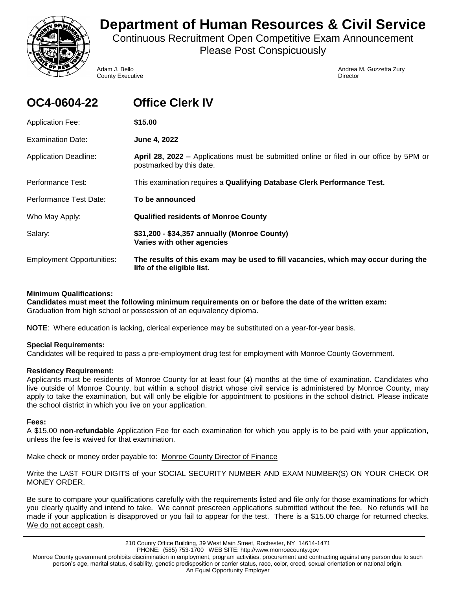

# **Department of Human Resources & Civil Service**

Continuous Recruitment Open Competitive Exam Announcement Please Post Conspicuously

**County Executive Director** Director

Adam J. Bello Andrea M. Guzzetta Zury

| OC4-0604-22                      | <b>Office Clerk IV</b>                                                                                                     |
|----------------------------------|----------------------------------------------------------------------------------------------------------------------------|
| <b>Application Fee:</b>          | \$15.00                                                                                                                    |
| Examination Date:                | June 4, 2022                                                                                                               |
| <b>Application Deadline:</b>     | <b>April 28, 2022 –</b> Applications must be submitted online or filed in our office by 5PM or<br>postmarked by this date. |
| Performance Test:                | This examination requires a Qualifying Database Clerk Performance Test.                                                    |
| Performance Test Date:           | To be announced                                                                                                            |
| Who May Apply:                   | <b>Qualified residents of Monroe County</b>                                                                                |
| Salary:                          | \$31,200 - \$34,357 annually (Monroe County)<br>Varies with other agencies                                                 |
| <b>Employment Opportunities:</b> | The results of this exam may be used to fill vacancies, which may occur during the<br>life of the eligible list.           |

# **Minimum Qualifications:**

**Candidates must meet the following minimum requirements on or before the date of the written exam:** Graduation from high school or possession of an equivalency diploma.

**NOTE**: Where education is lacking, clerical experience may be substituted on a year-for-year basis.

# **Special Requirements:**

Candidates will be required to pass a pre-employment drug test for employment with Monroe County Government.

# **Residency Requirement:**

Applicants must be residents of Monroe County for at least four (4) months at the time of examination. Candidates who live outside of Monroe County, but within a school district whose civil service is administered by Monroe County, may apply to take the examination, but will only be eligible for appointment to positions in the school district. Please indicate the school district in which you live on your application.

# **Fees:**

A \$15.00 **non-refundable** Application Fee for each examination for which you apply is to be paid with your application, unless the fee is waived for that examination.

Make check or money order payable to: Monroe County Director of Finance

Write the LAST FOUR DIGITS of your SOCIAL SECURITY NUMBER AND EXAM NUMBER(S) ON YOUR CHECK OR MONEY ORDER.

Be sure to compare your qualifications carefully with the requirements listed and file only for those examinations for which you clearly qualify and intend to take. We cannot prescreen applications submitted without the fee. No refunds will be made if your application is disapproved or you fail to appear for the test. There is a \$15.00 charge for returned checks. We do not accept cash.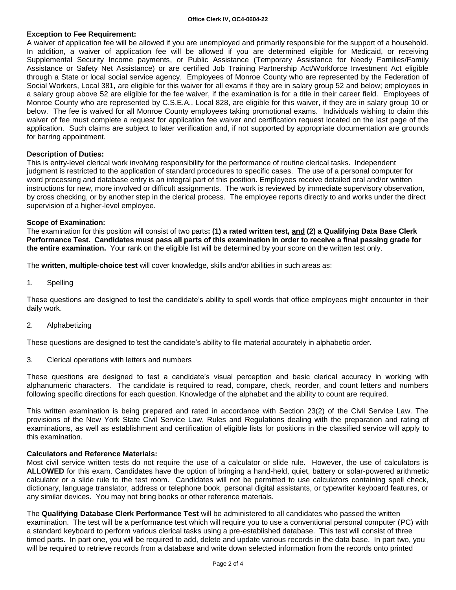# **Exception to Fee Requirement:**

A waiver of application fee will be allowed if you are unemployed and primarily responsible for the support of a household. In addition, a waiver of application fee will be allowed if you are determined eligible for Medicaid, or receiving Supplemental Security Income payments, or Public Assistance (Temporary Assistance for Needy Families/Family Assistance or Safety Net Assistance) or are certified Job Training Partnership Act/Workforce Investment Act eligible through a State or local social service agency. Employees of Monroe County who are represented by the Federation of Social Workers, Local 381, are eligible for this waiver for all exams if they are in salary group 52 and below; employees in a salary group above 52 are eligible for the fee waiver, if the examination is for a title in their career field. Employees of Monroe County who are represented by C.S.E.A., Local 828, are eligible for this waiver, if they are in salary group 10 or below. The fee is waived for all Monroe County employees taking promotional exams. Individuals wishing to claim this waiver of fee must complete a request for application fee waiver and certification request located on the last page of the application. Such claims are subject to later verification and, if not supported by appropriate documentation are grounds for barring appointment.

# **Description of Duties:**

This is entry-level clerical work involving responsibility for the performance of routine clerical tasks. Independent judgment is restricted to the application of standard procedures to specific cases. The use of a personal computer for word processing and database entry is an integral part of this position. Employees receive detailed oral and/or written instructions for new, more involved or difficult assignments. The work is reviewed by immediate supervisory observation, by cross checking, or by another step in the clerical process. The employee reports directly to and works under the direct supervision of a higher-level employee.

## **Scope of Examination:**

The examination for this position will consist of two parts**: (1) a rated written test, and (2) a Qualifying Data Base Clerk Performance Test. Candidates must pass all parts of this examination in order to receive a final passing grade for the entire examination.** Your rank on the eligible list will be determined by your score on the written test only.

The **written, multiple-choice test** will cover knowledge, skills and/or abilities in such areas as:

1. Spelling

These questions are designed to test the candidate's ability to spell words that office employees might encounter in their daily work.

2. Alphabetizing

These questions are designed to test the candidate's ability to file material accurately in alphabetic order.

3. Clerical operations with letters and numbers

These questions are designed to test a candidate's visual perception and basic clerical accuracy in working with alphanumeric characters. The candidate is required to read, compare, check, reorder, and count letters and numbers following specific directions for each question. Knowledge of the alphabet and the ability to count are required.

This written examination is being prepared and rated in accordance with Section 23(2) of the Civil Service Law. The provisions of the New York State Civil Service Law, Rules and Regulations dealing with the preparation and rating of examinations, as well as establishment and certification of eligible lists for positions in the classified service will apply to this examination.

# **Calculators and Reference Materials:**

Most civil service written tests do not require the use of a calculator or slide rule. However, the use of calculators is **ALLOWED** for this exam. Candidates have the option of bringing a hand-held, quiet, battery or solar-powered arithmetic calculator or a slide rule to the test room. Candidates will not be permitted to use calculators containing spell check, dictionary, language translator, address or telephone book, personal digital assistants, or typewriter keyboard features, or any similar devices. You may not bring books or other reference materials.

The **Qualifying Database Clerk Performance Test** will be administered to all candidates who passed the written examination. The test will be a performance test which will require you to use a conventional personal computer (PC) with a standard keyboard to perform various clerical tasks using a pre-established database. This test will consist of three timed parts. In part one, you will be required to add, delete and update various records in the data base. In part two, you will be required to retrieve records from a database and write down selected information from the records onto printed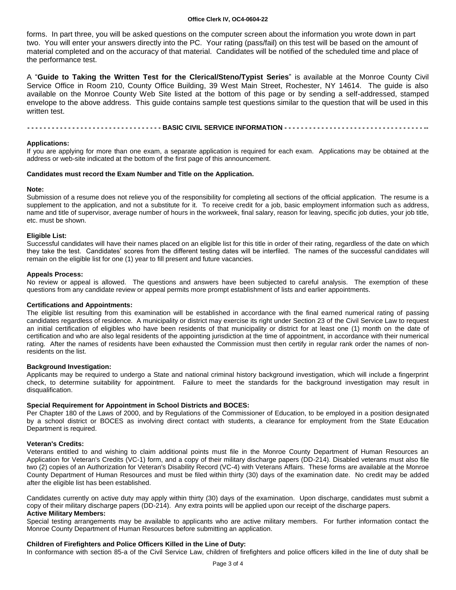#### **Office Clerk IV, OC4-0604-22**

forms. In part three, you will be asked questions on the computer screen about the information you wrote down in part two. You will enter your answers directly into the PC. Your rating (pass/fail) on this test will be based on the amount of material completed and on the accuracy of that material. Candidates will be notified of the scheduled time and place of the performance test.

A "**Guide to Taking the Written Test for the Clerical/Steno/Typist Series**" is available at the Monroe County Civil Service Office in Room 210, County Office Building, 39 West Main Street, Rochester, NY 14614. The guide is also available on the Monroe County Web Site listed at the bottom of this page or by sending a self-addressed, stamped envelope to the above address. This guide contains sample test questions similar to the question that will be used in this written test.

---------------------------------- BASIC CIVIL SERVICE INFORMATION ---------------------------------

## **Applications:**

If you are applying for more than one exam, a separate application is required for each exam. Applications may be obtained at the address or web-site indicated at the bottom of the first page of this announcement.

## **Candidates must record the Exam Number and Title on the Application.**

## **Note:**

Submission of a resume does not relieve you of the responsibility for completing all sections of the official application. The resume is a supplement to the application, and not a substitute for it. To receive credit for a job, basic employment information such as address, name and title of supervisor, average number of hours in the workweek, final salary, reason for leaving, specific job duties, your job title, etc. must be shown.

## **Eligible List:**

Successful candidates will have their names placed on an eligible list for this title in order of their rating, regardless of the date on which they take the test. Candidates' scores from the different testing dates will be interfiled. The names of the successful candidates will remain on the eligible list for one (1) year to fill present and future vacancies.

#### **Appeals Process:**

No review or appeal is allowed. The questions and answers have been subjected to careful analysis. The exemption of these questions from any candidate review or appeal permits more prompt establishment of lists and earlier appointments.

## **Certifications and Appointments:**

The eligible list resulting from this examination will be established in accordance with the final earned numerical rating of passing candidates regardless of residence. A municipality or district may exercise its right under Section 23 of the Civil Service Law to request an initial certification of eligibles who have been residents of that municipality or district for at least one (1) month on the date of certification and who are also legal residents of the appointing jurisdiction at the time of appointment, in accordance with their numerical rating. After the names of residents have been exhausted the Commission must then certify in regular rank order the names of nonresidents on the list.

#### **Background Investigation:**

Applicants may be required to undergo a State and national criminal history background investigation, which will include a fingerprint check, to determine suitability for appointment. Failure to meet the standards for the background investigation may result in disqualification.

# **Special Requirement for Appointment in School Districts and BOCES:**

Per Chapter 180 of the Laws of 2000, and by Regulations of the Commissioner of Education, to be employed in a position designated by a school district or BOCES as involving direct contact with students, a clearance for employment from the State Education Department is required.

#### **Veteran's Credits:**

Veterans entitled to and wishing to claim additional points must file in the Monroe County Department of Human Resources an Application for Veteran's Credits (VC-1) form, and a copy of their military discharge papers (DD-214). Disabled veterans must also file two (2) copies of an Authorization for Veteran's Disability Record (VC-4) with Veterans Affairs. These forms are available at the Monroe County Department of Human Resources and must be filed within thirty (30) days of the examination date. No credit may be added after the eligible list has been established.

Candidates currently on active duty may apply within thirty (30) days of the examination. Upon discharge, candidates must submit a copy of their military discharge papers (DD-214). Any extra points will be applied upon our receipt of the discharge papers. **Active Military Members:**

#### Special testing arrangements may be available to applicants who are active military members. For further information contact the Monroe County Department of Human Resources before submitting an application.

## **Children of Firefighters and Police Officers Killed in the Line of Duty:**

In conformance with section 85-a of the Civil Service Law, children of firefighters and police officers killed in the line of duty shall be